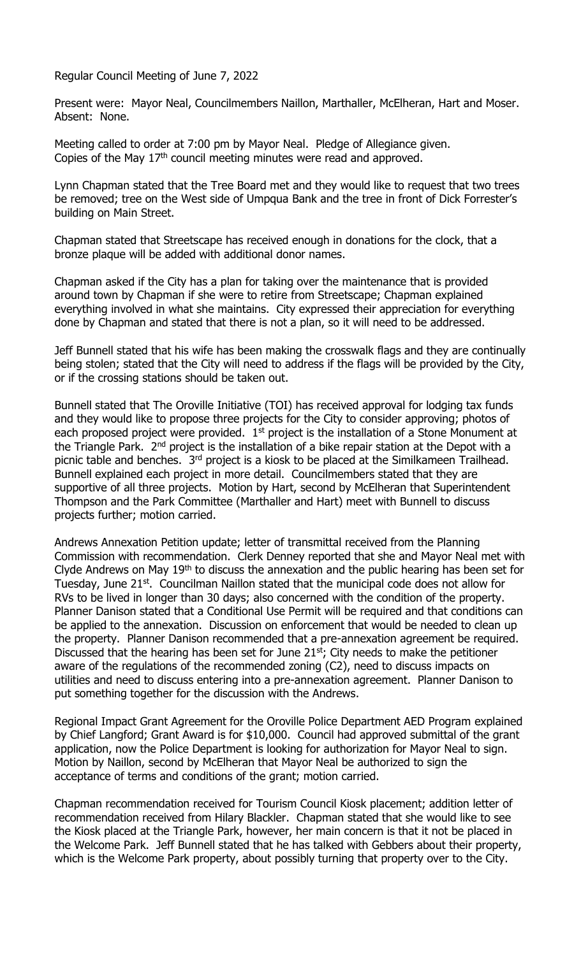Regular Council Meeting of June 7, 2022

Present were: Mayor Neal, Councilmembers Naillon, Marthaller, McElheran, Hart and Moser. Absent: None.

Meeting called to order at 7:00 pm by Mayor Neal. Pledge of Allegiance given. Copies of the May 17<sup>th</sup> council meeting minutes were read and approved.

Lynn Chapman stated that the Tree Board met and they would like to request that two trees be removed; tree on the West side of Umpqua Bank and the tree in front of Dick Forrester's building on Main Street.

Chapman stated that Streetscape has received enough in donations for the clock, that a bronze plaque will be added with additional donor names.

Chapman asked if the City has a plan for taking over the maintenance that is provided around town by Chapman if she were to retire from Streetscape; Chapman explained everything involved in what she maintains. City expressed their appreciation for everything done by Chapman and stated that there is not a plan, so it will need to be addressed.

Jeff Bunnell stated that his wife has been making the crosswalk flags and they are continually being stolen; stated that the City will need to address if the flags will be provided by the City, or if the crossing stations should be taken out.

Bunnell stated that The Oroville Initiative (TOI) has received approval for lodging tax funds and they would like to propose three projects for the City to consider approving; photos of each proposed project were provided.  $1^{st}$  project is the installation of a Stone Monument at the Triangle Park. 2<sup>nd</sup> project is the installation of a bike repair station at the Depot with a picnic table and benches. 3<sup>rd</sup> project is a kiosk to be placed at the Similkameen Trailhead. Bunnell explained each project in more detail. Councilmembers stated that they are supportive of all three projects. Motion by Hart, second by McElheran that Superintendent Thompson and the Park Committee (Marthaller and Hart) meet with Bunnell to discuss projects further; motion carried.

Andrews Annexation Petition update; letter of transmittal received from the Planning Commission with recommendation. Clerk Denney reported that she and Mayor Neal met with Clyde Andrews on May  $19<sup>th</sup>$  to discuss the annexation and the public hearing has been set for Tuesday, June 21<sup>st</sup>. Councilman Naillon stated that the municipal code does not allow for RVs to be lived in longer than 30 days; also concerned with the condition of the property. Planner Danison stated that a Conditional Use Permit will be required and that conditions can be applied to the annexation. Discussion on enforcement that would be needed to clean up the property. Planner Danison recommended that a pre-annexation agreement be required. Discussed that the hearing has been set for June  $21<sup>st</sup>$ ; City needs to make the petitioner aware of the regulations of the recommended zoning (C2), need to discuss impacts on utilities and need to discuss entering into a pre-annexation agreement. Planner Danison to put something together for the discussion with the Andrews.

Regional Impact Grant Agreement for the Oroville Police Department AED Program explained by Chief Langford; Grant Award is for \$10,000. Council had approved submittal of the grant application, now the Police Department is looking for authorization for Mayor Neal to sign. Motion by Naillon, second by McElheran that Mayor Neal be authorized to sign the acceptance of terms and conditions of the grant; motion carried.

Chapman recommendation received for Tourism Council Kiosk placement; addition letter of recommendation received from Hilary Blackler. Chapman stated that she would like to see the Kiosk placed at the Triangle Park, however, her main concern is that it not be placed in the Welcome Park. Jeff Bunnell stated that he has talked with Gebbers about their property, which is the Welcome Park property, about possibly turning that property over to the City.